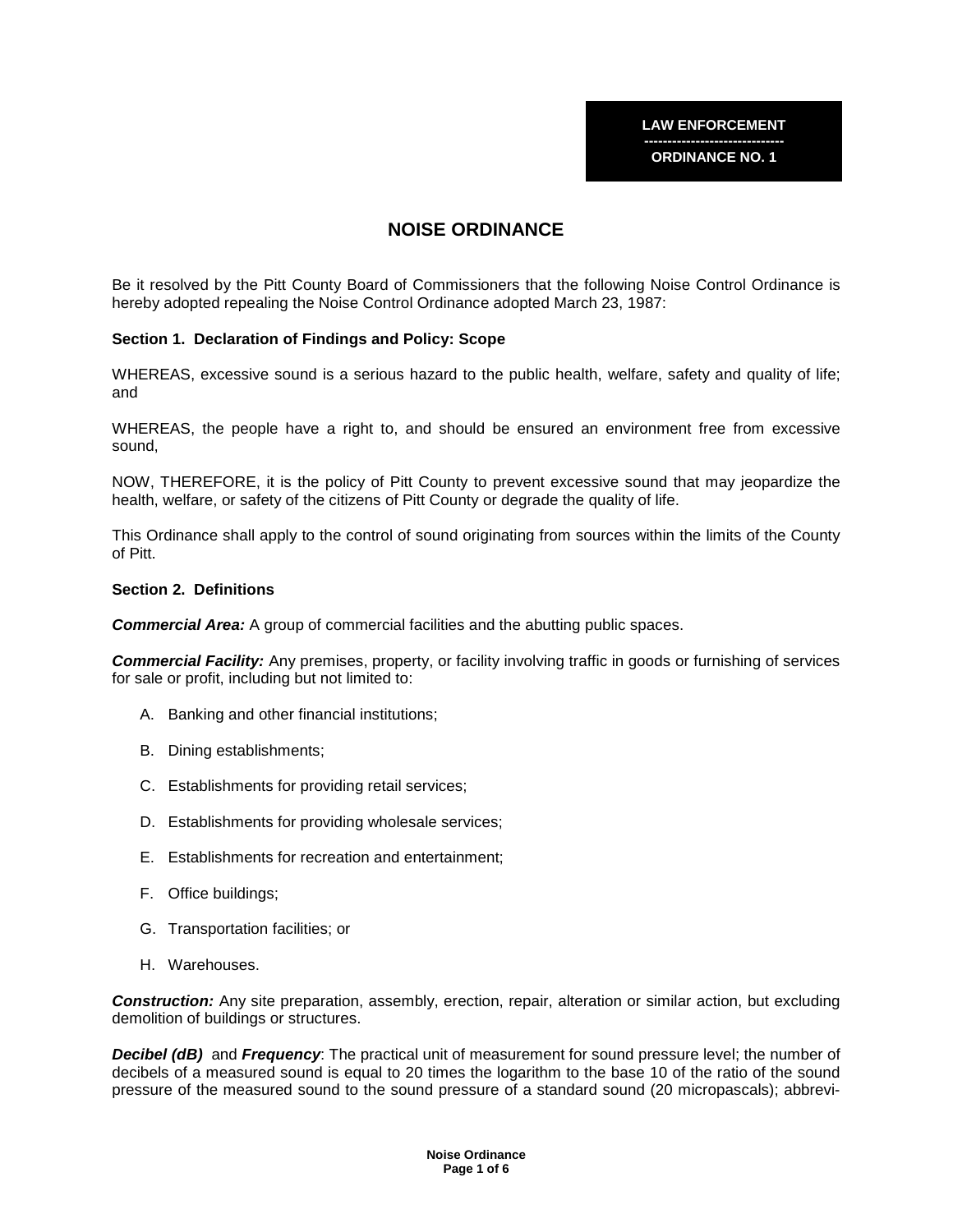**------------------------------ ORDINANCE NO. 1** 

# **NOISE ORDINANCE**

Be it resolved by the Pitt County Board of Commissioners that the following Noise Control Ordinance is hereby adopted repealing the Noise Control Ordinance adopted March 23, 1987:

#### **Section 1. Declaration of Findings and Policy: Scope**

WHEREAS, excessive sound is a serious hazard to the public health, welfare, safety and quality of life; and

WHEREAS, the people have a right to, and should be ensured an environment free from excessive sound,

NOW, THEREFORE, it is the policy of Pitt County to prevent excessive sound that may jeopardize the health, welfare, or safety of the citizens of Pitt County or degrade the quality of life.

This Ordinance shall apply to the control of sound originating from sources within the limits of the County of Pitt.

# **Section 2. Definitions**

**Commercial Area:** A group of commercial facilities and the abutting public spaces.

**Commercial Facility:** Any premises, property, or facility involving traffic in goods or furnishing of services for sale or profit, including but not limited to:

- A. Banking and other financial institutions;
- B. Dining establishments;
- C. Establishments for providing retail services;
- D. Establishments for providing wholesale services;
- E. Establishments for recreation and entertainment;
- F. Office buildings;
- G. Transportation facilities; or
- H. Warehouses.

**Construction:** Any site preparation, assembly, erection, repair, alteration or similar action, but excluding demolition of buildings or structures.

**Decibel (dB)** and **Frequency**: The practical unit of measurement for sound pressure level; the number of decibels of a measured sound is equal to 20 times the logarithm to the base 10 of the ratio of the sound pressure of the measured sound to the sound pressure of a standard sound (20 micropascals); abbrevi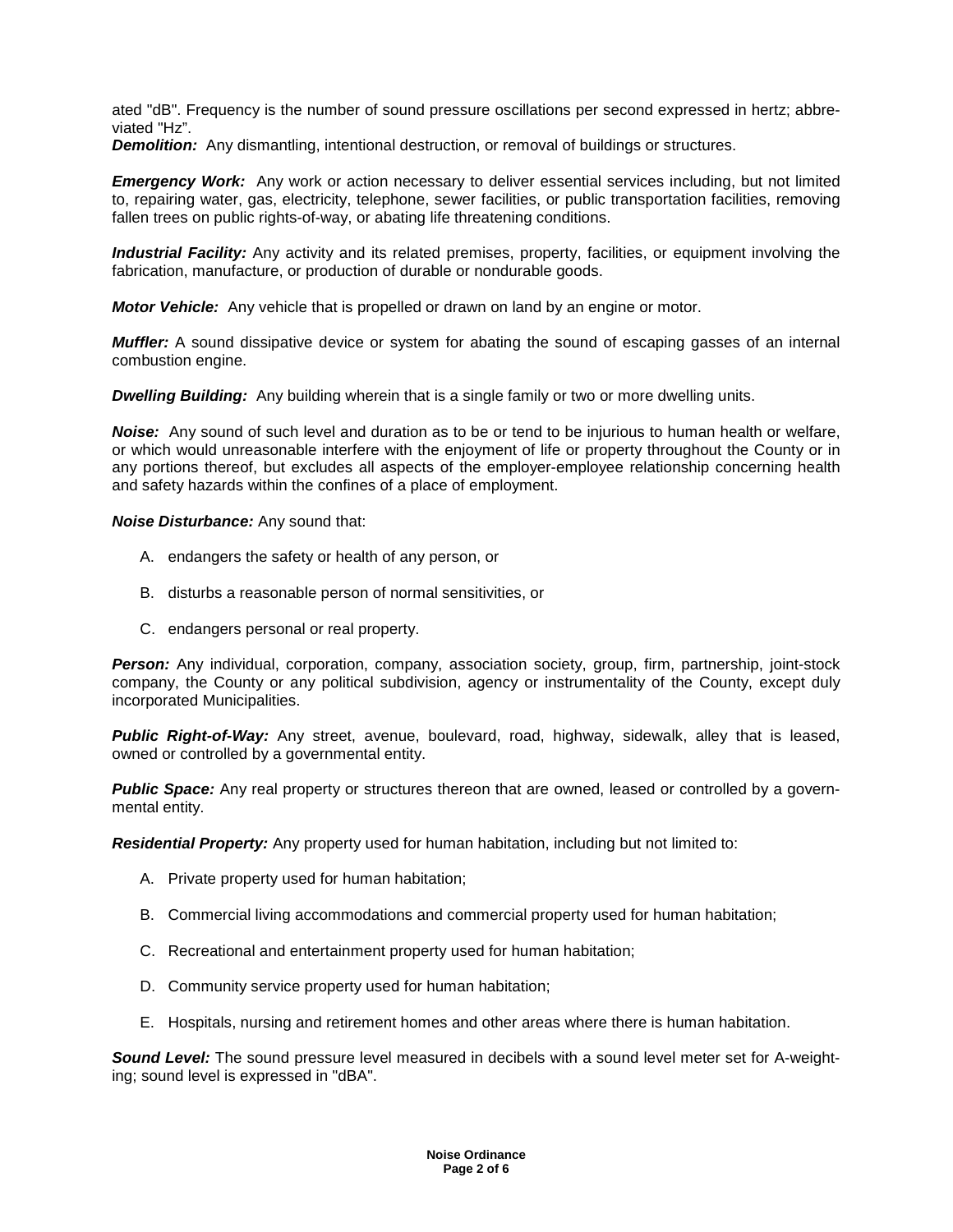ated "dB". Frequency is the number of sound pressure oscillations per second expressed in hertz; abbreviated "Hz".

**Demolition:** Any dismantling, intentional destruction, or removal of buildings or structures.

**Emergency Work:** Any work or action necessary to deliver essential services including, but not limited to, repairing water, gas, electricity, telephone, sewer facilities, or public transportation facilities, removing fallen trees on public rights-of-way, or abating life threatening conditions.

**Industrial Facility:** Any activity and its related premises, property, facilities, or equipment involving the fabrication, manufacture, or production of durable or nondurable goods.

**Motor Vehicle:** Any vehicle that is propelled or drawn on land by an engine or motor.

**Muffler:** A sound dissipative device or system for abating the sound of escaping gasses of an internal combustion engine.

**Dwelling Building:** Any building wherein that is a single family or two or more dwelling units.

**Noise:** Any sound of such level and duration as to be or tend to be injurious to human health or welfare, or which would unreasonable interfere with the enjoyment of life or property throughout the County or in any portions thereof, but excludes all aspects of the employer-employee relationship concerning health and safety hazards within the confines of a place of employment.

**Noise Disturbance:** Any sound that:

- A. endangers the safety or health of any person, or
- B. disturbs a reasonable person of normal sensitivities, or
- C. endangers personal or real property.

**Person:** Any individual, corporation, company, association society, group, firm, partnership, joint-stock company, the County or any political subdivision, agency or instrumentality of the County, except duly incorporated Municipalities.

Public Right-of-Way: Any street, avenue, boulevard, road, highway, sidewalk, alley that is leased, owned or controlled by a governmental entity.

**Public Space:** Any real property or structures thereon that are owned, leased or controlled by a governmental entity.

**Residential Property:** Any property used for human habitation, including but not limited to:

- A. Private property used for human habitation;
- B. Commercial living accommodations and commercial property used for human habitation;
- C. Recreational and entertainment property used for human habitation;
- D. Community service property used for human habitation;
- E. Hospitals, nursing and retirement homes and other areas where there is human habitation.

**Sound Level:** The sound pressure level measured in decibels with a sound level meter set for A-weighting; sound level is expressed in "dBA".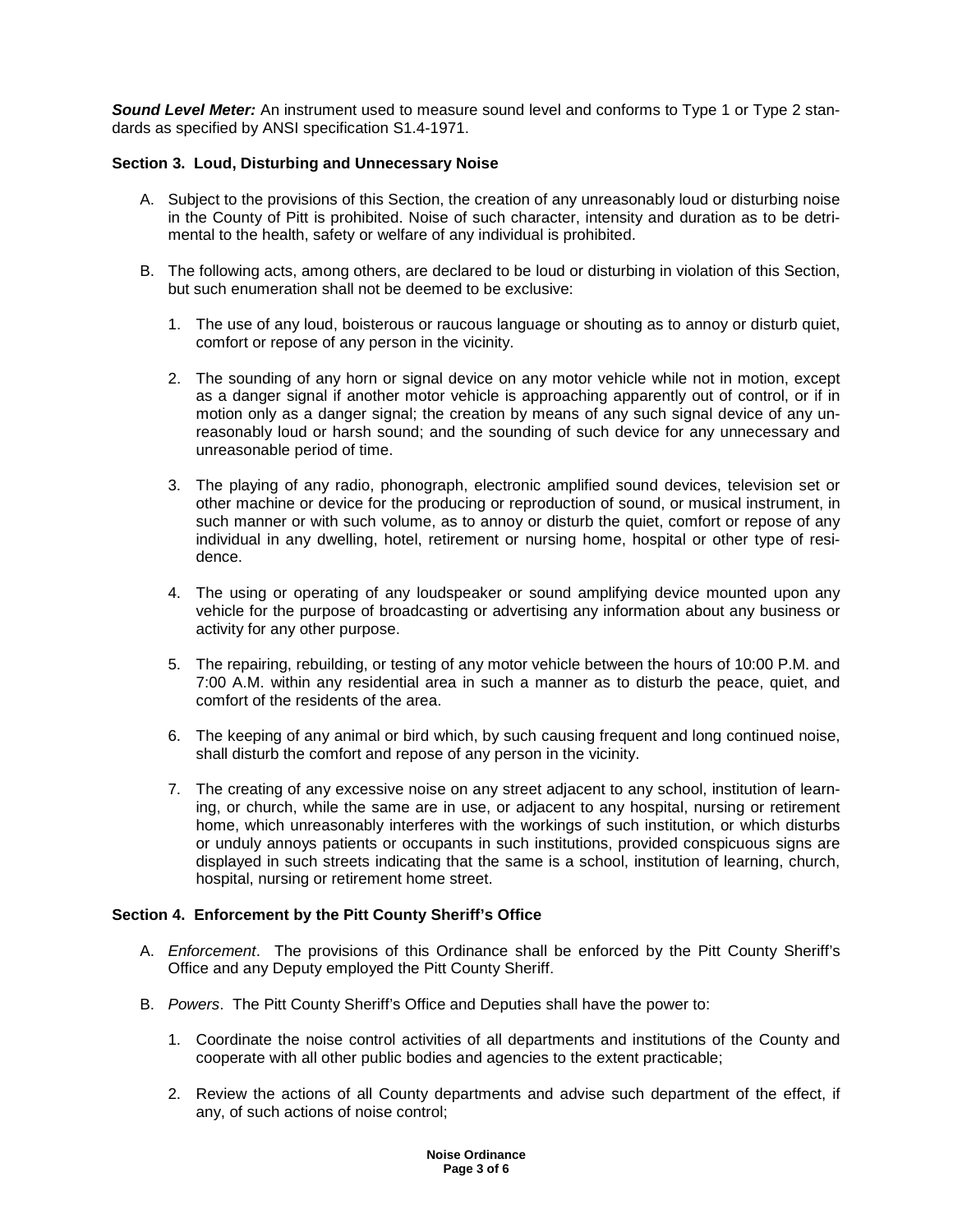**Sound Level Meter:** An instrument used to measure sound level and conforms to Type 1 or Type 2 standards as specified by ANSI specification S1.4-1971.

# **Section 3. Loud, Disturbing and Unnecessary Noise**

- A. Subject to the provisions of this Section, the creation of any unreasonably loud or disturbing noise in the County of Pitt is prohibited. Noise of such character, intensity and duration as to be detrimental to the health, safety or welfare of any individual is prohibited.
- B. The following acts, among others, are declared to be loud or disturbing in violation of this Section, but such enumeration shall not be deemed to be exclusive:
	- 1. The use of any loud, boisterous or raucous language or shouting as to annoy or disturb quiet, comfort or repose of any person in the vicinity.
	- 2. The sounding of any horn or signal device on any motor vehicle while not in motion, except as a danger signal if another motor vehicle is approaching apparently out of control, or if in motion only as a danger signal; the creation by means of any such signal device of any unreasonably loud or harsh sound; and the sounding of such device for any unnecessary and unreasonable period of time.
	- 3. The playing of any radio, phonograph, electronic amplified sound devices, television set or other machine or device for the producing or reproduction of sound, or musical instrument, in such manner or with such volume, as to annoy or disturb the quiet, comfort or repose of any individual in any dwelling, hotel, retirement or nursing home, hospital or other type of residence.
	- 4. The using or operating of any loudspeaker or sound amplifying device mounted upon any vehicle for the purpose of broadcasting or advertising any information about any business or activity for any other purpose.
	- 5. The repairing, rebuilding, or testing of any motor vehicle between the hours of 10:00 P.M. and 7:00 A.M. within any residential area in such a manner as to disturb the peace, quiet, and comfort of the residents of the area.
	- 6. The keeping of any animal or bird which, by such causing frequent and long continued noise, shall disturb the comfort and repose of any person in the vicinity.
	- 7. The creating of any excessive noise on any street adjacent to any school, institution of learning, or church, while the same are in use, or adjacent to any hospital, nursing or retirement home, which unreasonably interferes with the workings of such institution, or which disturbs or unduly annoys patients or occupants in such institutions, provided conspicuous signs are displayed in such streets indicating that the same is a school, institution of learning, church, hospital, nursing or retirement home street.

# **Section 4. Enforcement by the Pitt County Sheriff's Office**

- A. *Enforcement*. The provisions of this Ordinance shall be enforced by the Pitt County Sheriff's Office and any Deputy employed the Pitt County Sheriff.
- B. Powers. The Pitt County Sheriff's Office and Deputies shall have the power to:
	- 1. Coordinate the noise control activities of all departments and institutions of the County and cooperate with all other public bodies and agencies to the extent practicable;
	- 2. Review the actions of all County departments and advise such department of the effect, if any, of such actions of noise control;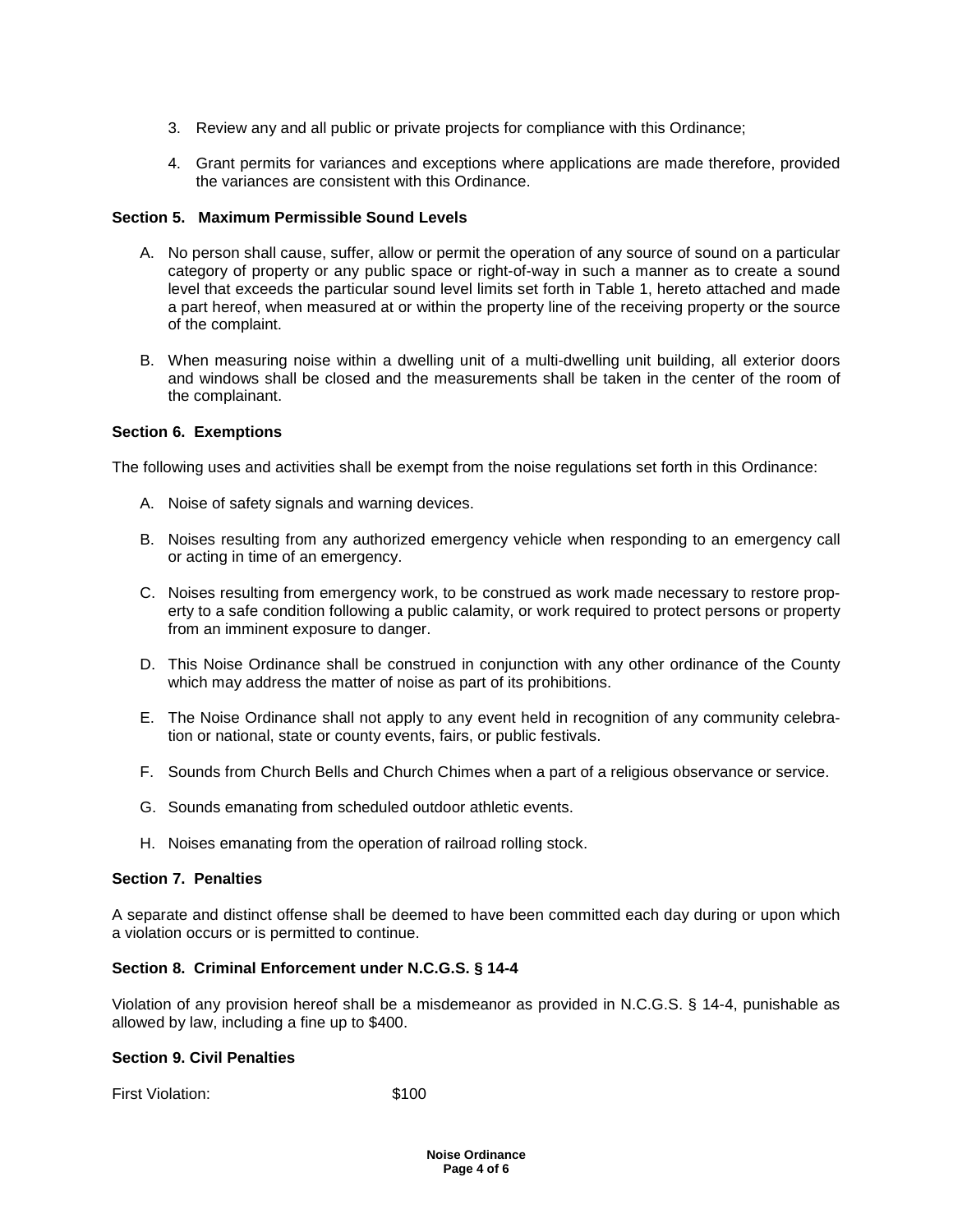- 3. Review any and all public or private projects for compliance with this Ordinance;
- 4. Grant permits for variances and exceptions where applications are made therefore, provided the variances are consistent with this Ordinance.

# **Section 5. Maximum Permissible Sound Levels**

- A. No person shall cause, suffer, allow or permit the operation of any source of sound on a particular category of property or any public space or right-of-way in such a manner as to create a sound level that exceeds the particular sound level limits set forth in Table 1, hereto attached and made a part hereof, when measured at or within the property line of the receiving property or the source of the complaint.
- B. When measuring noise within a dwelling unit of a multi-dwelling unit building, all exterior doors and windows shall be closed and the measurements shall be taken in the center of the room of the complainant.

#### **Section 6. Exemptions**

The following uses and activities shall be exempt from the noise regulations set forth in this Ordinance:

- A. Noise of safety signals and warning devices.
- B. Noises resulting from any authorized emergency vehicle when responding to an emergency call or acting in time of an emergency.
- C. Noises resulting from emergency work, to be construed as work made necessary to restore property to a safe condition following a public calamity, or work required to protect persons or property from an imminent exposure to danger.
- D. This Noise Ordinance shall be construed in conjunction with any other ordinance of the County which may address the matter of noise as part of its prohibitions.
- E. The Noise Ordinance shall not apply to any event held in recognition of any community celebration or national, state or county events, fairs, or public festivals.
- F. Sounds from Church Bells and Church Chimes when a part of a religious observance or service.
- G. Sounds emanating from scheduled outdoor athletic events.
- H. Noises emanating from the operation of railroad rolling stock.

# **Section 7. Penalties**

A separate and distinct offense shall be deemed to have been committed each day during or upon which a violation occurs or is permitted to continue.

# **Section 8. Criminal Enforcement under N.C.G.S. § 14-4**

Violation of any provision hereof shall be a misdemeanor as provided in N.C.G.S. § 14-4, punishable as allowed by law, including a fine up to \$400.

#### **Section 9. Civil Penalties**

First Violation: \$100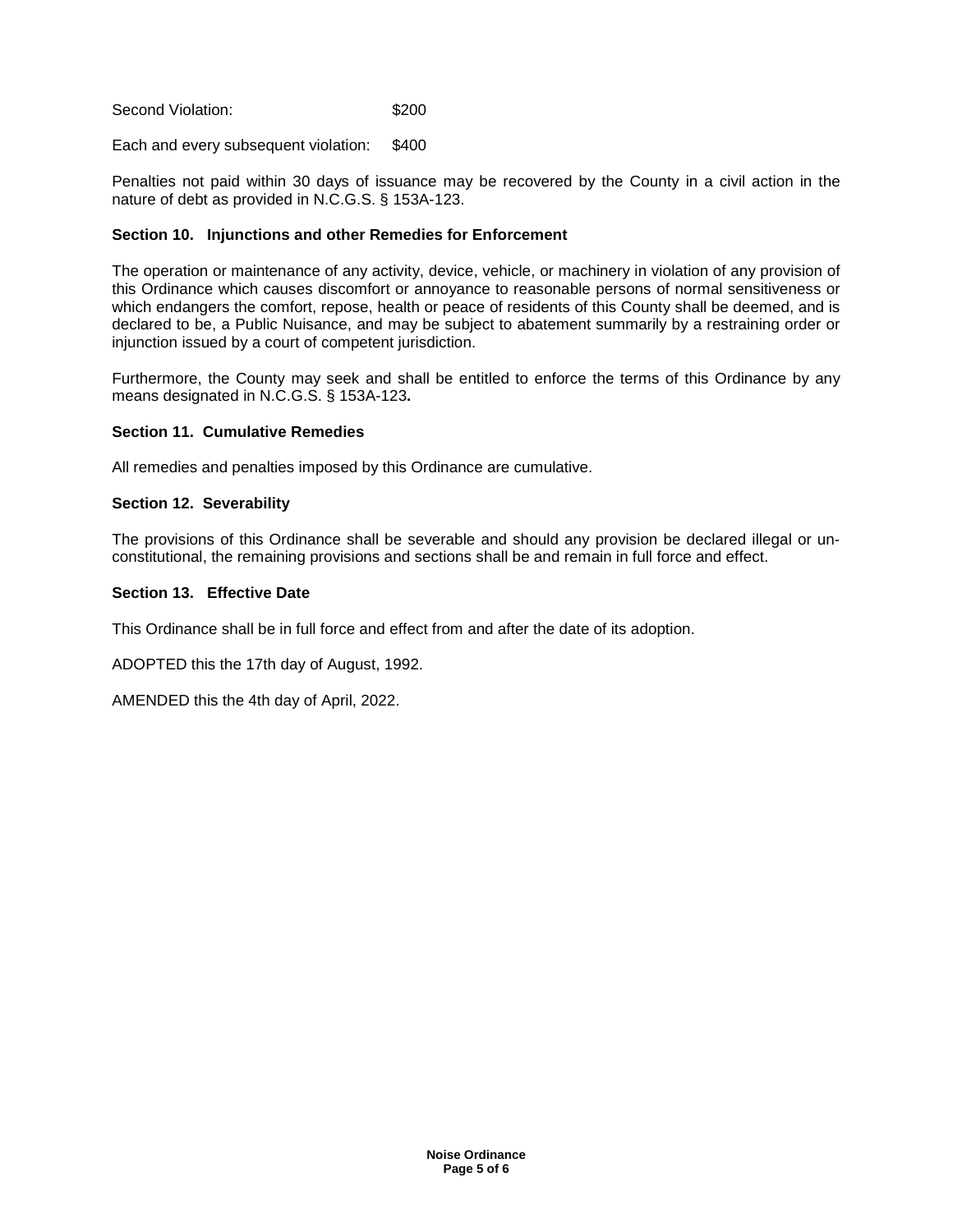Second Violation: \$200

Each and every subsequent violation: \$400

Penalties not paid within 30 days of issuance may be recovered by the County in a civil action in the nature of debt as provided in N.C.G.S. § 153A-123.

#### **Section 10. Injunctions and other Remedies for Enforcement**

The operation or maintenance of any activity, device, vehicle, or machinery in violation of any provision of this Ordinance which causes discomfort or annoyance to reasonable persons of normal sensitiveness or which endangers the comfort, repose, health or peace of residents of this County shall be deemed, and is declared to be, a Public Nuisance, and may be subject to abatement summarily by a restraining order or injunction issued by a court of competent jurisdiction.

Furthermore, the County may seek and shall be entitled to enforce the terms of this Ordinance by any means designated in N.C.G.S. § 153A-123**.** 

#### **Section 11. Cumulative Remedies**

All remedies and penalties imposed by this Ordinance are cumulative.

#### **Section 12. Severability**

The provisions of this Ordinance shall be severable and should any provision be declared illegal or unconstitutional, the remaining provisions and sections shall be and remain in full force and effect.

## **Section 13. Effective Date**

This Ordinance shall be in full force and effect from and after the date of its adoption.

ADOPTED this the 17th day of August, 1992.

AMENDED this the 4th day of April, 2022.